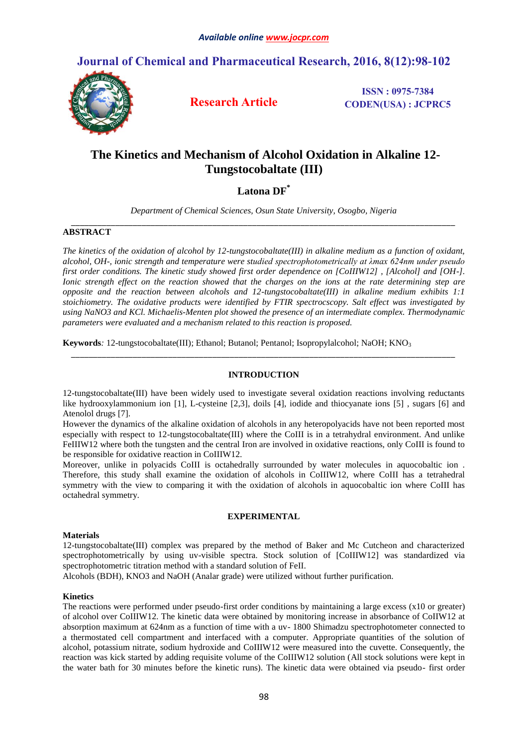# **Journal of Chemical and Pharmaceutical Research, 2016, 8(12):98-102**



**Research Article**

**ISSN : 0975-7384 CODEN(USA) : JCPRC5**

# **The Kinetics and Mechanism of Alcohol Oxidation in Alkaline 12- Tungstocobaltate (III)**

## **Latona DF \***

*Department of Chemical Sciences, Osun State University, Osogbo, Nigeria \_\_\_\_\_\_\_\_\_\_\_\_\_\_\_\_\_\_\_\_\_\_\_\_\_\_\_\_\_\_\_\_\_\_\_\_\_\_\_\_\_\_\_\_\_\_\_\_\_\_\_\_\_\_\_\_\_\_\_\_\_\_\_\_\_\_\_\_\_\_\_\_\_\_\_\_\_\_\_\_\_\_\_\_\_\_\_*

## **ABSTRACT**

*The kinetics of the oxidation of alcohol by 12-tungstocobaltate(III) in alkaline medium as a function of oxidant, alcohol, OH-, ionic strength and temperature were studied spectrophotometrically at λmax 624nm under pseudo first order conditions. The kinetic study showed first order dependence on [CoIIIW12] , [Alcohol] and [OH-]. Ionic strength effect on the reaction showed that the charges on the ions at the rate determining step are opposite and the reaction between alcohols and 12-tungstocobaltate(III) in alkaline medium exhibits 1:1 stoichiometry. The oxidative products were identified by FTIR spectrocscopy. Salt effect was investigated by using NaNO3 and KCl. Michaelis-Menten plot showed the presence of an intermediate complex. Thermodynamic parameters were evaluated and a mechanism related to this reaction is proposed.*

**Keywords***:* 12-tungstocobaltate(III); Ethanol; Butanol; Pentanol; Isopropylalcohol; NaOH; KNO<sup>3</sup>

## **INTRODUCTION**

*\_\_\_\_\_\_\_\_\_\_\_\_\_\_\_\_\_\_\_\_\_\_\_\_\_\_\_\_\_\_\_\_\_\_\_\_\_\_\_\_\_\_\_\_\_\_\_\_\_\_\_\_\_\_\_\_\_\_\_\_\_\_\_\_\_\_\_\_\_\_\_\_\_\_\_\_\_\_\_\_\_\_\_\_\_\_\_*

12-tungstocobaltate(III) have been widely used to investigate several oxidation reactions involving reductants like hydrooxylammonium ion [1], L-cysteine [2,3], doils [4], iodide and thiocyanate ions [5] , sugars [6] and Atenolol drugs [7].

However the dynamics of the alkaline oxidation of alcohols in any heteropolyacids have not been reported most especially with respect to 12-tungstocobaltate(III) where the CoIII is in a tetrahydral environment. And unlike FeIIIW12 where both the tungsten and the central Iron are involved in oxidative reactions, only CoIII is found to be responsible for oxidative reaction in CoIIIW12.

Moreover, unlike in polyacids CoIII is octahedrally surrounded by water molecules in aquocobaltic ion . Therefore, this study shall examine the oxidation of alcohols in CoIIIW12, where CoIII has a tetrahedral symmetry with the view to comparing it with the oxidation of alcohols in aquocobaltic ion where CoIII has octahedral symmetry.

## **EXPERIMENTAL**

## **Materials**

12-tungstocobaltate(III) complex was prepared by the method of Baker and Mc Cutcheon and characterized spectrophotometrically by using uv-visible spectra. Stock solution of [CoIIIW12] was standardized via spectrophotometric titration method with a standard solution of FeII.

Alcohols (BDH), KNO3 and NaOH (Analar grade) were utilized without further purification.

## **Kinetics**

The reactions were performed under pseudo-first order conditions by maintaining a large excess (x10 or greater) of alcohol over CoIIIW12. The kinetic data were obtained by monitoring increase in absorbance of CoIIW12 at absorption maximum at 624nm as a function of time with a uv- 1800 Shimadzu spectrophotometer connected to a thermostated cell compartment and interfaced with a computer. Appropriate quantities of the solution of alcohol, potassium nitrate, sodium hydroxide and CoIIIW12 were measured into the cuvette. Consequently, the reaction was kick started by adding requisite volume of the CoIIIW12 solution (All stock solutions were kept in the water bath for 30 minutes before the kinetic runs). The kinetic data were obtained via pseudo- first order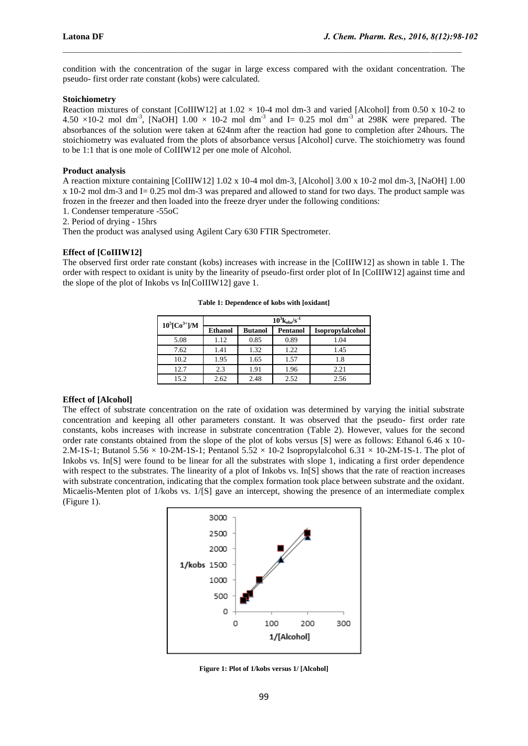condition with the concentration of the sugar in large excess compared with the oxidant concentration. The pseudo- first order rate constant (kobs) were calculated.

 $\_$  , and the state of the state of the state of the state of the state of the state of the state of the state of the state of the state of the state of the state of the state of the state of the state of the state of the

## **Stoichiometry**

Reaction mixtures of constant [CoIIIW12] at  $1.02 \times 10^{-4}$  mol dm-3 and varied [Alcohol] from 0.50 x 10-2 to 4.50  $\times$ 10-2 mol dm<sup>-3</sup>, [NaOH] 1.00  $\times$  10-2 mol dm<sup>-3</sup> and I= 0.25 mol dm<sup>-3</sup> at 298K were prepared. The absorbances of the solution were taken at 624nm after the reaction had gone to completion after 24hours. The stoichiometry was evaluated from the plots of absorbance versus [Alcohol] curve. The stoichiometry was found to be 1:1 that is one mole of CoIIIW12 per one mole of Alcohol.

#### **Product analysis**

A reaction mixture containing [CoIIIW12] 1.02 x 10-4 mol dm-3, [Alcohol] 3.00 x 10-2 mol dm-3, [NaOH] 1.00 x 10-2 mol dm-3 and I= 0.25 mol dm-3 was prepared and allowed to stand for two days. The product sample was frozen in the freezer and then loaded into the freeze dryer under the following conditions:

1. Condenser temperature -55oC

2. Period of drying - 15hrs

Then the product was analysed using Agilent Cary 630 FTIR Spectrometer.

## **Effect of [CoIIIW12]**

The observed first order rate constant (kobs) increases with increase in the [CoIIIW12] as shown in table 1. The order with respect to oxidant is unity by the linearity of pseudo-first order plot of In [CoIIIW12] against time and the slope of the plot of Inkobs vs In[CoIIIW12] gave 1.

| $10^5$ [Co <sup>3+</sup> ]/M | $10^3$ <sub>kobs</sub> /s <sup>-1</sup> |                |          |                  |  |
|------------------------------|-----------------------------------------|----------------|----------|------------------|--|
|                              | <b>Ethanol</b>                          | <b>Butanol</b> | Pentanol | Isopropylalcohol |  |
| 5.08                         | 1.12                                    | 0.85           | 0.89     | 1.04             |  |
| 7.62                         | 1.41                                    | 1.32           | 1.22     | 1.45             |  |
| 10.2                         | 1.95                                    | 1.65           | 1.57     | 1.8              |  |
| 12.7                         | 2.3                                     | 1.91           | 1.96     | 2.21             |  |
| 15.2                         | 2.62                                    | 2.48           | 2.52     | 2.56             |  |

**Table 1: Dependence of kobs with [oxidant]**

## **Effect of [Alcohol]**

The effect of substrate concentration on the rate of oxidation was determined by varying the initial substrate concentration and keeping all other parameters constant. It was observed that the pseudo- first order rate constants, kobs increases with increase in substrate concentration (Table 2). However, values for the second order rate constants obtained from the slope of the plot of kobs versus [S] were as follows: Ethanol 6.46 x 10- 2.M-1S-1; Butanol 5.56  $\times$  10-2M-1S-1; Pentanol 5.52  $\times$  10-2 Isopropylalcohol 6.31  $\times$  10-2M-1S-1. The plot of Inkobs vs. In[S] were found to be linear for all the substrates with slope 1, indicating a first order dependence with respect to the substrates. The linearity of a plot of Inkobs vs. In[S] shows that the rate of reaction increases with substrate concentration, indicating that the complex formation took place between substrate and the oxidant. Micaelis-Menten plot of 1/kobs vs. 1/[S] gave an intercept, showing the presence of an intermediate complex (Figure 1).



**Figure 1: Plot of 1/kobs versus 1/ [Alcohol]**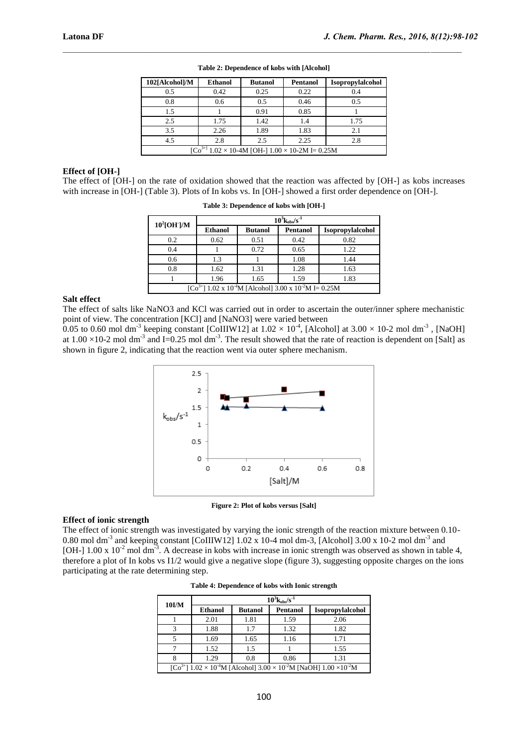| 102[Alcohol]/M                                              | <b>Ethanol</b> | <b>Butanol</b> | <b>Pentanol</b> | Isopropylalcohol |
|-------------------------------------------------------------|----------------|----------------|-----------------|------------------|
| 0.5                                                         | 0.42           | 0.25           | 0.22            | 0.4              |
| 0.8                                                         | 0.6            | 0.5            | 0.46            | 0.5              |
| 1.5                                                         |                | 0.91           | 0.85            |                  |
| 2.5                                                         | 1.75           | 1.42           | 1.4             | 1.75             |
| 3.5                                                         | 2.26           | 1.89           | 1.83            | 2.1              |
| 4.5                                                         | 2.8            | 2.5            | 2.25            | 2.8              |
| $[Co3+1 1.02 \times 10-4M [OH-] 1.00 \times 10-2M] = 0.25M$ |                |                |                 |                  |

**Table 2: Dependence of kobs with [Alcohol]**

 $\_$  , and the state of the state of the state of the state of the state of the state of the state of the state of the state of the state of the state of the state of the state of the state of the state of the state of the

#### **Effect of [OH-]**

The effect of [OH-] on the rate of oxidation showed that the reaction was affected by [OH-] as kobs increases with increase in [OH-] (Table 3). Plots of In kobs vs. In [OH-] showed a first order dependence on [OH-].

| $10^2$ [OH]/M                                                                                        | $10^3$ $\mathrm{k_{obs}}/\mathrm{s}^{-1}$ |                |          |                  |  |
|------------------------------------------------------------------------------------------------------|-------------------------------------------|----------------|----------|------------------|--|
|                                                                                                      | <b>Ethanol</b>                            | <b>Butanol</b> | Pentanol | Isopropylalcohol |  |
| 0.2                                                                                                  | 0.62                                      | 0.51           | 0.42     | 0.82             |  |
| 0.4                                                                                                  |                                           | 0.72           | 0.65     | 1.22             |  |
| 0.6                                                                                                  | 1.3                                       |                | 1.08     | 1.44             |  |
| 0.8                                                                                                  | 1.62                                      | 1.31           | 1.28     | 1.63             |  |
|                                                                                                      | 1.96                                      | 1.65           | 1.59     | 1.83             |  |
| $\left[\text{Co}^{3+}\right]$ 1.02 x 10 <sup>-4</sup> M [Alcohol] 3.00 x 10 <sup>-2</sup> M I= 0.25M |                                           |                |          |                  |  |

**Table 3: Dependence of kobs with [OH-]**

## **Salt effect**

The effect of salts like NaNO3 and KCl was carried out in order to ascertain the outer/inner sphere mechanistic point of view. The concentration [KCl] and [NaNO3] were varied between

0.05 to 0.60 mol dm<sup>-3</sup> keeping constant [CoIIIW12] at  $1.02 \times 10^{-4}$ , [Alcohol] at  $3.00 \times 10^{-2}$  mol dm<sup>-3</sup>, [NaOH] at  $1.00 \times 10^{-2}$  mol dm<sup>-3</sup> and I=0.25 mol dm<sup>-3</sup>. The result showed that the rate of reaction is dependent on [Salt] as shown in figure 2, indicating that the reaction went via outer sphere mechanism.



**Figure 2: Plot of kobs versus [Salt]**

#### **Effect of ionic strength**

The effect of ionic strength was investigated by varying the ionic strength of the reaction mixture between 0.10- 0.80 mol dm<sup>-3</sup> and keeping constant [CoIIIW12]  $1.02 \times 10^{-4}$  mol dm-3, [Alcohol] 3.00 x 10-2 mol dm<sup>-3</sup> and [OH-]  $1.00 \times 10^{-2}$  mol dm<sup>-3</sup>. A decrease in kobs with increase in ionic strength was observed as shown in table 4, therefore a plot of In kobs vs I1/2 would give a negative slope (figure 3), suggesting opposite charges on the ions participating at the rate determining step.

| $10$ I/M                                                                            | $10^3$ <sub>kobs</sub> /s <sup>-1</sup> |                |                 |                  |  |
|-------------------------------------------------------------------------------------|-----------------------------------------|----------------|-----------------|------------------|--|
|                                                                                     | <b>Ethanol</b>                          | <b>Butanol</b> | <b>Pentanol</b> | Isopropylalcohol |  |
|                                                                                     | 2.01                                    | 1.81           | 1.59            | 2.06             |  |
|                                                                                     | 1.88                                    | 1.7            | 1.32            | 1.82             |  |
|                                                                                     | 1.69                                    | 1.65           | 1.16            | 1.71             |  |
|                                                                                     | 1.52                                    | 1.5            |                 | 1.55             |  |
|                                                                                     | 1.29                                    | 0.8            | 0.86            | 1.31             |  |
| $[Co3+] 1.02 \times 10-4M$ [Alcohol] $3.00 \times 10-2M$ [NaOH] $1.00 \times 10-2M$ |                                         |                |                 |                  |  |

**Table 4: Dependence of kobs with Ionic strength**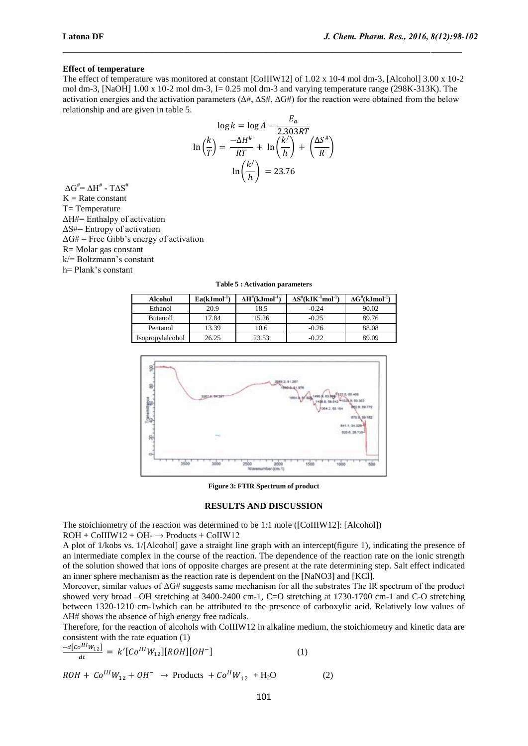#### **Effect of temperature**

The effect of temperature was monitored at constant [CoIIIW12] of 1.02 x 10-4 mol dm-3, [Alcohol] 3.00 x 10-2 mol dm-3,  $[NaOH]$  1.00 x 10-2 mol dm-3, I= 0.25 mol dm-3 and varying temperature range (298K-313K). The activation energies and the activation parameters  $(\Delta \#, \Delta S \#, \Delta G \#)$  for the reaction were obtained from the below relationship and are given in table 5.

 $\_$  , and the state of the state of the state of the state of the state of the state of the state of the state of the state of the state of the state of the state of the state of the state of the state of the state of the

$$
\log k = \log A - \frac{E_a}{2.303RT}
$$

$$
\ln\left(\frac{k}{T}\right) = \frac{-\Delta H^*}{RT} + \ln\left(\frac{k'}{h}\right) + \left(\frac{\Delta S^*}{R}\right)
$$

$$
\ln\left(\frac{k'}{h}\right) = 23.76
$$

 $\Delta G^{\#} = \Delta H^{\#}$  -  $T\Delta S^{\#}$  $K = Rate constant$ T= Temperature ΔH#= Enthalpy of activation ΔS#= Entropy of activation  $\Delta$ G# = Free Gibb's energy of activation R= Molar gas constant k/= Boltzmann's constant h= Plank's constant

**Table 5 : Activation parameters**

| <b>Alcohol</b>   | $Ea(kJmol^{-1})$ | $\Delta H^{#}(kJmol^{-1})$ | $\Delta S^{\text{\#}}(\mathbf{k}\mathbf{J}\mathbf{K}^{\text{-1}}\mathbf{mol}^{\text{-1}})$ | $\Delta G^{\#}(kJmol^{-1})$ |
|------------------|------------------|----------------------------|--------------------------------------------------------------------------------------------|-----------------------------|
| Ethanol          | 20.9             | 18.5                       | $-0.24$                                                                                    | 90.02                       |
| <b>Butanoll</b>  | 17.84            | 15.26                      | $-0.25$                                                                                    | 89.76                       |
| Pentanol         | 13.39            | 10.6                       | $-0.26$                                                                                    | 88.08                       |
| Isopropylalcohol | 26.25            | 23.53                      | $-0.22$                                                                                    | 89.09                       |



**Figure 3: FTIR Spectrum of product**

#### **RESULTS AND DISCUSSION**

The stoichiometry of the reaction was determined to be 1:1 mole ([CoIIIW12]: [Alcohol])  $ROH + COIIW12 + OH - \rightarrow Products + COIIW12$ 

A plot of 1/kobs vs. 1/[Alcohol] gave a straight line graph with an intercept(figure 1), indicating the presence of an intermediate complex in the course of the reaction. The dependence of the reaction rate on the ionic strength of the solution showed that ions of opposite charges are present at the rate determining step. Salt effect indicated an inner sphere mechanism as the reaction rate is dependent on the [NaNO3] and [KCl].

Moreover, similar values of ΔG# suggests same mechanism for all the substrates The IR spectrum of the product showed very broad –OH stretching at 3400-2400 cm-1, C=O stretching at 1730-1700 cm-1 and C-O stretching between 1320-1210 cm-1which can be attributed to the presence of carboxylic acid. Relatively low values of ΔH# shows the absence of high energy free radicals.

Therefore, for the reaction of alcohols with CoIIIW12 in alkaline medium, the stoichiometry and kinetic data are consistent with the rate equation (1)

$$
\frac{-a[co^{III}W_{12}]}{dt} = k'[Co^{III}W_{12}][ROH][OH^-]
$$
\n(1)

$$
ROH + Co^{III}W_{12} + OH^- \rightarrow \text{Products } + Co^{II}W_{12} + H_2O \tag{2}
$$